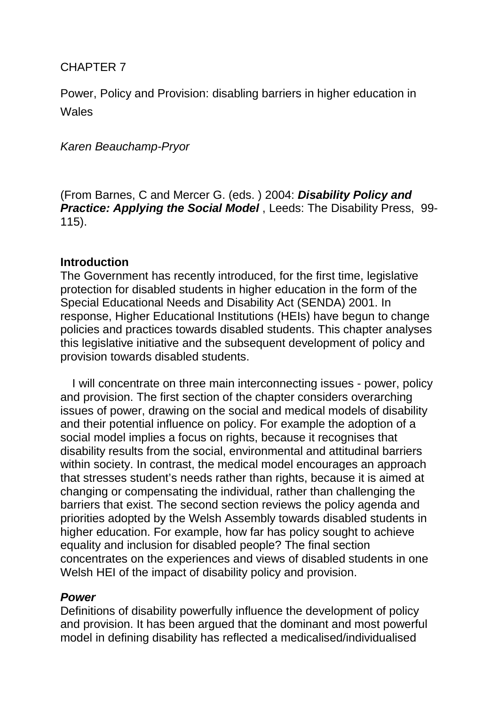## CHAPTER 7

Power, Policy and Provision: disabling barriers in higher education in **Wales** 

## *Karen Beauchamp-Pryor*

(From Barnes, C and Mercer G. (eds. ) 2004: *Disability Policy and Practice: Applying the Social Model* , Leeds: The Disability Press, 99- 115).

## **Introduction**

The Government has recently introduced, for the first time, legislative protection for disabled students in higher education in the form of the Special Educational Needs and Disability Act (SENDA) 2001. In response, Higher Educational Institutions (HEIs) have begun to change policies and practices towards disabled students. This chapter analyses this legislative initiative and the subsequent development of policy and provision towards disabled students.

I will concentrate on three main interconnecting issues - power, policy and provision. The first section of the chapter considers overarching issues of power, drawing on the social and medical models of disability and their potential influence on policy. For example the adoption of a social model implies a focus on rights, because it recognises that disability results from the social, environmental and attitudinal barriers within society. In contrast, the medical model encourages an approach that stresses student's needs rather than rights, because it is aimed at changing or compensating the individual, rather than challenging the barriers that exist. The second section reviews the policy agenda and priorities adopted by the Welsh Assembly towards disabled students in higher education. For example, how far has policy sought to achieve equality and inclusion for disabled people? The final section concentrates on the experiences and views of disabled students in one Welsh HEI of the impact of disability policy and provision.

# *Power*

Definitions of disability powerfully influence the development of policy and provision. It has been argued that the dominant and most powerful model in defining disability has reflected a medicalised/individualised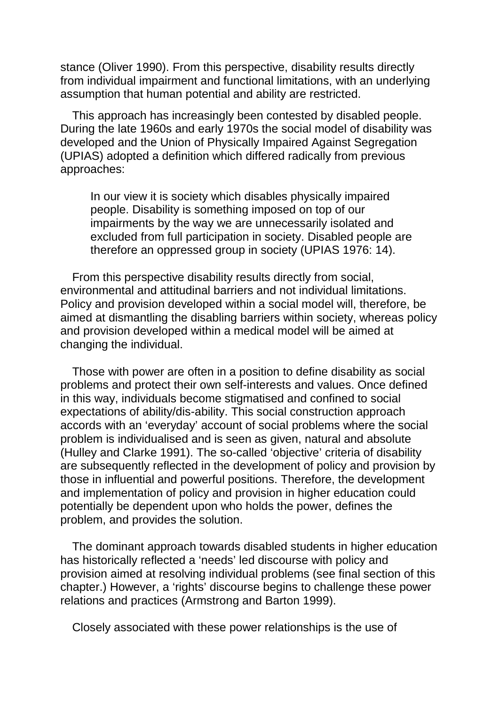stance (Oliver 1990). From this perspective, disability results directly from individual impairment and functional limitations, with an underlying assumption that human potential and ability are restricted.

This approach has increasingly been contested by disabled people. During the late 1960s and early 1970s the social model of disability was developed and the Union of Physically Impaired Against Segregation (UPIAS) adopted a definition which differed radically from previous approaches:

In our view it is society which disables physically impaired people. Disability is something imposed on top of our impairments by the way we are unnecessarily isolated and excluded from full participation in society. Disabled people are therefore an oppressed group in society (UPIAS 1976: 14).

From this perspective disability results directly from social, environmental and attitudinal barriers and not individual limitations. Policy and provision developed within a social model will, therefore, be aimed at dismantling the disabling barriers within society, whereas policy and provision developed within a medical model will be aimed at changing the individual.

Those with power are often in a position to define disability as social problems and protect their own self-interests and values. Once defined in this way, individuals become stigmatised and confined to social expectations of ability/dis-ability. This social construction approach accords with an 'everyday' account of social problems where the social problem is individualised and is seen as given, natural and absolute (Hulley and Clarke 1991). The so-called 'objective' criteria of disability are subsequently reflected in the development of policy and provision by those in influential and powerful positions. Therefore, the development and implementation of policy and provision in higher education could potentially be dependent upon who holds the power, defines the problem, and provides the solution.

The dominant approach towards disabled students in higher education has historically reflected a 'needs' led discourse with policy and provision aimed at resolving individual problems (see final section of this chapter.) However, a 'rights' discourse begins to challenge these power relations and practices (Armstrong and Barton 1999).

Closely associated with these power relationships is the use of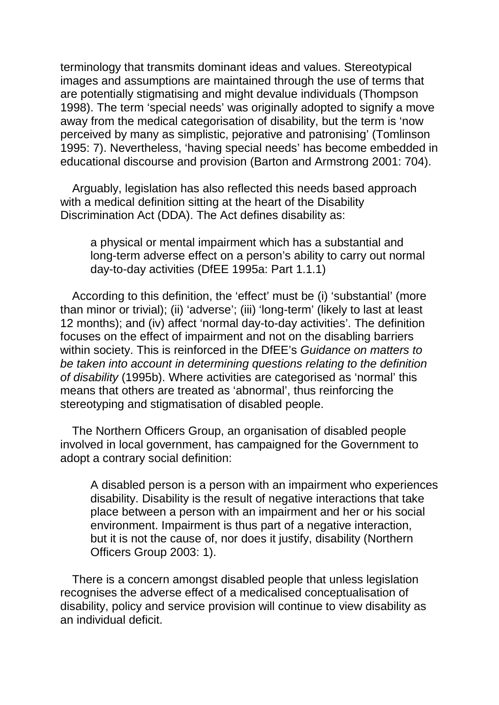terminology that transmits dominant ideas and values. Stereotypical images and assumptions are maintained through the use of terms that are potentially stigmatising and might devalue individuals (Thompson 1998). The term 'special needs' was originally adopted to signify a move away from the medical categorisation of disability, but the term is 'now perceived by many as simplistic, pejorative and patronising' (Tomlinson 1995: 7). Nevertheless, 'having special needs' has become embedded in educational discourse and provision (Barton and Armstrong 2001: 704).

Arguably, legislation has also reflected this needs based approach with a medical definition sitting at the heart of the Disability Discrimination Act (DDA). The Act defines disability as:

a physical or mental impairment which has a substantial and long-term adverse effect on a person's ability to carry out normal day-to-day activities (DfEE 1995a: Part 1.1.1)

According to this definition, the 'effect' must be (i) 'substantial' (more than minor or trivial); (ii) 'adverse'; (iii) 'long-term' (likely to last at least 12 months); and (iv) affect 'normal day-to-day activities'. The definition focuses on the effect of impairment and not on the disabling barriers within society. This is reinforced in the DfEE's *Guidance on matters to be taken into account in determining questions relating to the definition of disability* (1995b). Where activities are categorised as 'normal' this means that others are treated as 'abnormal', thus reinforcing the stereotyping and stigmatisation of disabled people.

The Northern Officers Group, an organisation of disabled people involved in local government, has campaigned for the Government to adopt a contrary social definition:

A disabled person is a person with an impairment who experiences disability. Disability is the result of negative interactions that take place between a person with an impairment and her or his social environment. Impairment is thus part of a negative interaction, but it is not the cause of, nor does it justify, disability (Northern Officers Group 2003: 1).

There is a concern amongst disabled people that unless legislation recognises the adverse effect of a medicalised conceptualisation of disability, policy and service provision will continue to view disability as an individual deficit.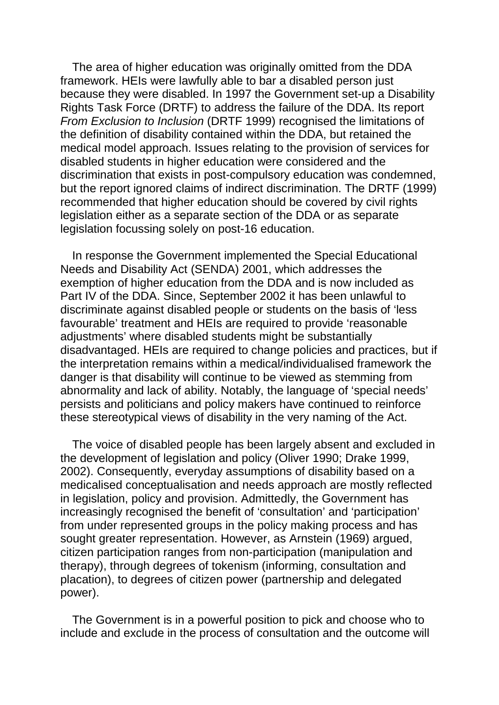The area of higher education was originally omitted from the DDA framework. HEIs were lawfully able to bar a disabled person just because they were disabled. In 1997 the Government set-up a Disability Rights Task Force (DRTF) to address the failure of the DDA. Its report *From Exclusion to Inclusion* (DRTF 1999) recognised the limitations of the definition of disability contained within the DDA, but retained the medical model approach. Issues relating to the provision of services for disabled students in higher education were considered and the discrimination that exists in post-compulsory education was condemned, but the report ignored claims of indirect discrimination. The DRTF (1999) recommended that higher education should be covered by civil rights legislation either as a separate section of the DDA or as separate legislation focussing solely on post-16 education.

In response the Government implemented the Special Educational Needs and Disability Act (SENDA) 2001, which addresses the exemption of higher education from the DDA and is now included as Part IV of the DDA. Since, September 2002 it has been unlawful to discriminate against disabled people or students on the basis of 'less favourable' treatment and HEIs are required to provide 'reasonable adjustments' where disabled students might be substantially disadvantaged. HEIs are required to change policies and practices, but if the interpretation remains within a medical/individualised framework the danger is that disability will continue to be viewed as stemming from abnormality and lack of ability. Notably, the language of 'special needs' persists and politicians and policy makers have continued to reinforce these stereotypical views of disability in the very naming of the Act.

The voice of disabled people has been largely absent and excluded in the development of legislation and policy (Oliver 1990; Drake 1999, 2002). Consequently, everyday assumptions of disability based on a medicalised conceptualisation and needs approach are mostly reflected in legislation, policy and provision. Admittedly, the Government has increasingly recognised the benefit of 'consultation' and 'participation' from under represented groups in the policy making process and has sought greater representation. However, as Arnstein (1969) argued, citizen participation ranges from non-participation (manipulation and therapy), through degrees of tokenism (informing, consultation and placation), to degrees of citizen power (partnership and delegated power).

The Government is in a powerful position to pick and choose who to include and exclude in the process of consultation and the outcome will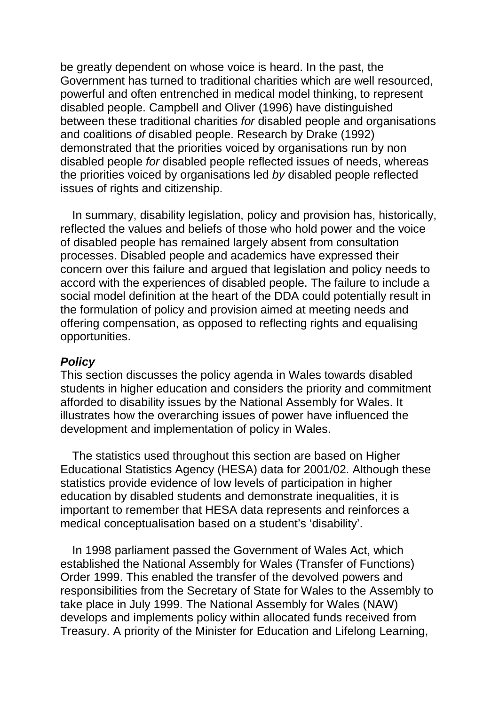be greatly dependent on whose voice is heard. In the past, the Government has turned to traditional charities which are well resourced, powerful and often entrenched in medical model thinking, to represent disabled people. Campbell and Oliver (1996) have distinguished between these traditional charities *for* disabled people and organisations and coalitions *of* disabled people. Research by Drake (1992) demonstrated that the priorities voiced by organisations run by non disabled people *for* disabled people reflected issues of needs, whereas the priorities voiced by organisations led *by* disabled people reflected issues of rights and citizenship.

In summary, disability legislation, policy and provision has, historically, reflected the values and beliefs of those who hold power and the voice of disabled people has remained largely absent from consultation processes. Disabled people and academics have expressed their concern over this failure and argued that legislation and policy needs to accord with the experiences of disabled people. The failure to include a social model definition at the heart of the DDA could potentially result in the formulation of policy and provision aimed at meeting needs and offering compensation, as opposed to reflecting rights and equalising opportunities.

#### *Policy*

This section discusses the policy agenda in Wales towards disabled students in higher education and considers the priority and commitment afforded to disability issues by the National Assembly for Wales. It illustrates how the overarching issues of power have influenced the development and implementation of policy in Wales.

The statistics used throughout this section are based on Higher Educational Statistics Agency (HESA) data for 2001/02. Although these statistics provide evidence of low levels of participation in higher education by disabled students and demonstrate inequalities, it is important to remember that HESA data represents and reinforces a medical conceptualisation based on a student's 'disability'.

In 1998 parliament passed the Government of Wales Act, which established the National Assembly for Wales (Transfer of Functions) Order 1999. This enabled the transfer of the devolved powers and responsibilities from the Secretary of State for Wales to the Assembly to take place in July 1999. The National Assembly for Wales (NAW) develops and implements policy within allocated funds received from Treasury. A priority of the Minister for Education and Lifelong Learning,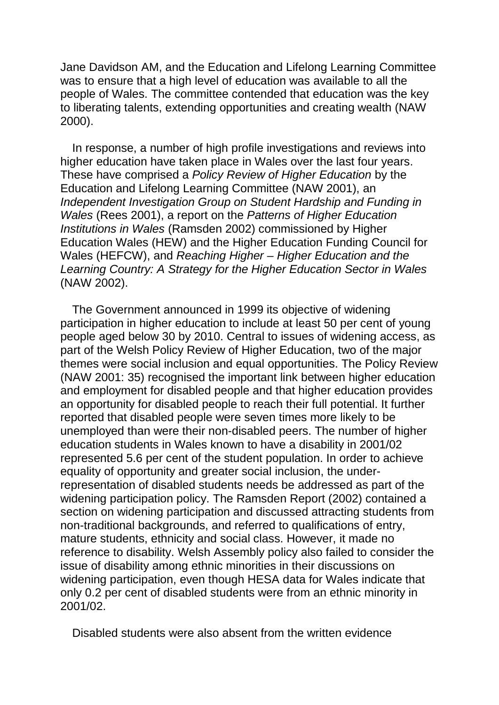Jane Davidson AM, and the Education and Lifelong Learning Committee was to ensure that a high level of education was available to all the people of Wales. The committee contended that education was the key to liberating talents, extending opportunities and creating wealth (NAW 2000).

In response, a number of high profile investigations and reviews into higher education have taken place in Wales over the last four years. These have comprised a *Policy Review of Higher Education* by the Education and Lifelong Learning Committee (NAW 2001), an *Independent Investigation Group on Student Hardship and Funding in Wales* (Rees 2001), a report on the *Patterns of Higher Education Institutions in Wales* (Ramsden 2002) commissioned by Higher Education Wales (HEW) and the Higher Education Funding Council for Wales (HEFCW), and *Reaching Higher – Higher Education and the Learning Country: A Strategy for the Higher Education Sector in Wales*  (NAW 2002).

The Government announced in 1999 its objective of widening participation in higher education to include at least 50 per cent of young people aged below 30 by 2010. Central to issues of widening access, as part of the Welsh Policy Review of Higher Education, two of the major themes were social inclusion and equal opportunities. The Policy Review (NAW 2001: 35) recognised the important link between higher education and employment for disabled people and that higher education provides an opportunity for disabled people to reach their full potential. It further reported that disabled people were seven times more likely to be unemployed than were their non-disabled peers. The number of higher education students in Wales known to have a disability in 2001/02 represented 5.6 per cent of the student population. In order to achieve equality of opportunity and greater social inclusion, the underrepresentation of disabled students needs be addressed as part of the widening participation policy. The Ramsden Report (2002) contained a section on widening participation and discussed attracting students from non-traditional backgrounds, and referred to qualifications of entry, mature students, ethnicity and social class. However, it made no reference to disability. Welsh Assembly policy also failed to consider the issue of disability among ethnic minorities in their discussions on widening participation, even though HESA data for Wales indicate that only 0.2 per cent of disabled students were from an ethnic minority in 2001/02.

Disabled students were also absent from the written evidence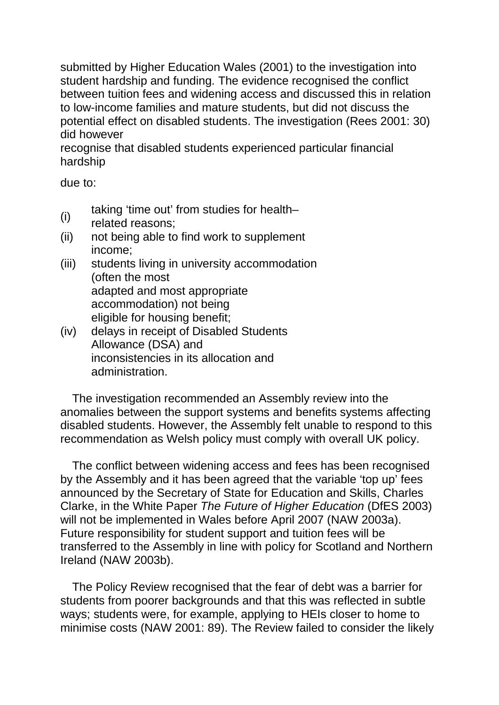submitted by Higher Education Wales (2001) to the investigation into student hardship and funding. The evidence recognised the conflict between tuition fees and widening access and discussed this in relation to low-income families and mature students, but did not discuss the potential effect on disabled students. The investigation (Rees 2001: 30) did however

recognise that disabled students experienced particular financial hardship

due to:

- (i) taking 'time out' from studies for health–
- related reasons;
- (ii) not being able to find work to supplement income;
- (iii) students living in university accommodation (often the most adapted and most appropriate accommodation) not being eligible for housing benefit;
- (iv) delays in receipt of Disabled Students Allowance (DSA) and inconsistencies in its allocation and administration.

The investigation recommended an Assembly review into the anomalies between the support systems and benefits systems affecting disabled students. However, the Assembly felt unable to respond to this recommendation as Welsh policy must comply with overall UK policy.

The conflict between widening access and fees has been recognised by the Assembly and it has been agreed that the variable 'top up' fees announced by the Secretary of State for Education and Skills, Charles Clarke, in the White Paper *The Future of Higher Education* (DfES 2003) will not be implemented in Wales before April 2007 (NAW 2003a). Future responsibility for student support and tuition fees will be transferred to the Assembly in line with policy for Scotland and Northern Ireland (NAW 2003b).

The Policy Review recognised that the fear of debt was a barrier for students from poorer backgrounds and that this was reflected in subtle ways; students were, for example, applying to HEIs closer to home to minimise costs (NAW 2001: 89). The Review failed to consider the likely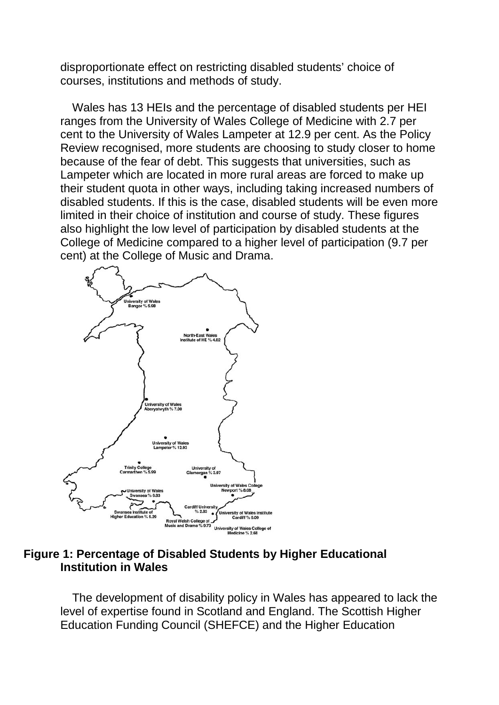disproportionate effect on restricting disabled students' choice of courses, institutions and methods of study.

Wales has 13 HEIs and the percentage of disabled students per HEI ranges from the University of Wales College of Medicine with 2.7 per cent to the University of Wales Lampeter at 12.9 per cent. As the Policy Review recognised, more students are choosing to study closer to home because of the fear of debt. This suggests that universities, such as Lampeter which are located in more rural areas are forced to make up their student quota in other ways, including taking increased numbers of disabled students. If this is the case, disabled students will be even more limited in their choice of institution and course of study. These figures also highlight the low level of participation by disabled students at the College of Medicine compared to a higher level of participation (9.7 per cent) at the College of Music and Drama.



### **Figure 1: Percentage of Disabled Students by Higher Educational Institution in Wales**

The development of disability policy in Wales has appeared to lack the level of expertise found in Scotland and England. The Scottish Higher Education Funding Council (SHEFCE) and the Higher Education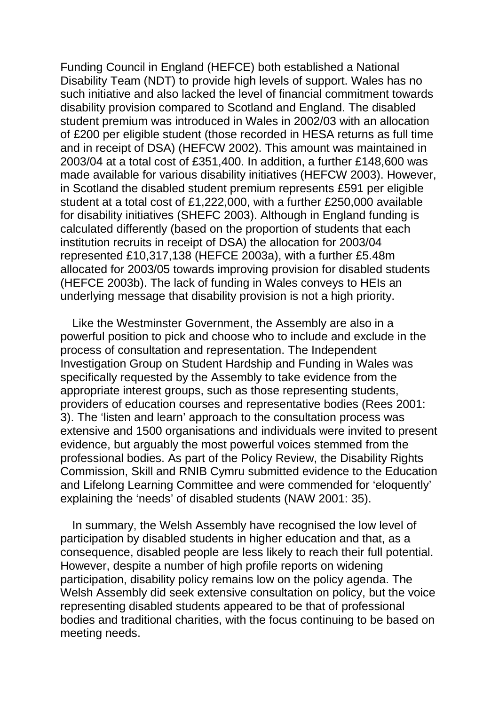Funding Council in England (HEFCE) both established a National Disability Team (NDT) to provide high levels of support. Wales has no such initiative and also lacked the level of financial commitment towards disability provision compared to Scotland and England. The disabled student premium was introduced in Wales in 2002/03 with an allocation of £200 per eligible student (those recorded in HESA returns as full time and in receipt of DSA) (HEFCW 2002). This amount was maintained in 2003/04 at a total cost of £351,400. In addition, a further £148,600 was made available for various disability initiatives (HEFCW 2003). However, in Scotland the disabled student premium represents £591 per eligible student at a total cost of £1,222,000, with a further £250,000 available for disability initiatives (SHEFC 2003). Although in England funding is calculated differently (based on the proportion of students that each institution recruits in receipt of DSA) the allocation for 2003/04 represented £10,317,138 (HEFCE 2003a), with a further £5.48m allocated for 2003/05 towards improving provision for disabled students (HEFCE 2003b). The lack of funding in Wales conveys to HEIs an underlying message that disability provision is not a high priority.

Like the Westminster Government, the Assembly are also in a powerful position to pick and choose who to include and exclude in the process of consultation and representation. The Independent Investigation Group on Student Hardship and Funding in Wales was specifically requested by the Assembly to take evidence from the appropriate interest groups, such as those representing students, providers of education courses and representative bodies (Rees 2001: 3). The 'listen and learn' approach to the consultation process was extensive and 1500 organisations and individuals were invited to present evidence, but arguably the most powerful voices stemmed from the professional bodies. As part of the Policy Review, the Disability Rights Commission, Skill and RNIB Cymru submitted evidence to the Education and Lifelong Learning Committee and were commended for 'eloquently' explaining the 'needs' of disabled students (NAW 2001: 35).

In summary, the Welsh Assembly have recognised the low level of participation by disabled students in higher education and that, as a consequence, disabled people are less likely to reach their full potential. However, despite a number of high profile reports on widening participation, disability policy remains low on the policy agenda. The Welsh Assembly did seek extensive consultation on policy, but the voice representing disabled students appeared to be that of professional bodies and traditional charities, with the focus continuing to be based on meeting needs.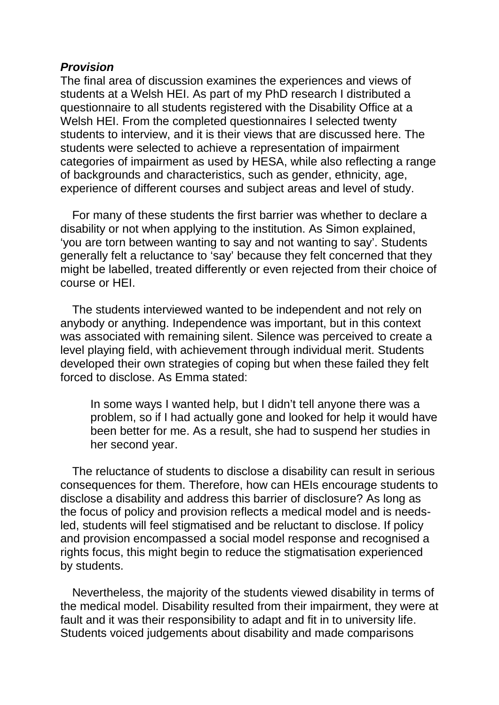### *Provision*

The final area of discussion examines the experiences and views of students at a Welsh HEI. As part of my PhD research I distributed a questionnaire to all students registered with the Disability Office at a Welsh HEI. From the completed questionnaires I selected twenty students to interview, and it is their views that are discussed here. The students were selected to achieve a representation of impairment categories of impairment as used by HESA, while also reflecting a range of backgrounds and characteristics, such as gender, ethnicity, age, experience of different courses and subject areas and level of study.

For many of these students the first barrier was whether to declare a disability or not when applying to the institution. As Simon explained, 'you are torn between wanting to say and not wanting to say'. Students generally felt a reluctance to 'say' because they felt concerned that they might be labelled, treated differently or even rejected from their choice of course or HEI.

The students interviewed wanted to be independent and not rely on anybody or anything. Independence was important, but in this context was associated with remaining silent. Silence was perceived to create a level playing field, with achievement through individual merit. Students developed their own strategies of coping but when these failed they felt forced to disclose. As Emma stated:

In some ways I wanted help, but I didn't tell anyone there was a problem, so if I had actually gone and looked for help it would have been better for me. As a result, she had to suspend her studies in her second year.

The reluctance of students to disclose a disability can result in serious consequences for them. Therefore, how can HEIs encourage students to disclose a disability and address this barrier of disclosure? As long as the focus of policy and provision reflects a medical model and is needsled, students will feel stigmatised and be reluctant to disclose. If policy and provision encompassed a social model response and recognised a rights focus, this might begin to reduce the stigmatisation experienced by students.

Nevertheless, the majority of the students viewed disability in terms of the medical model. Disability resulted from their impairment, they were at fault and it was their responsibility to adapt and fit in to university life. Students voiced judgements about disability and made comparisons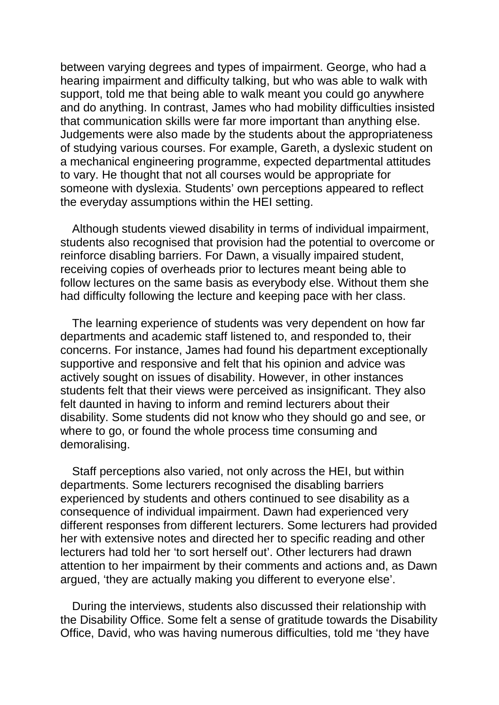between varying degrees and types of impairment. George, who had a hearing impairment and difficulty talking, but who was able to walk with support, told me that being able to walk meant you could go anywhere and do anything. In contrast, James who had mobility difficulties insisted that communication skills were far more important than anything else. Judgements were also made by the students about the appropriateness of studying various courses. For example, Gareth, a dyslexic student on a mechanical engineering programme, expected departmental attitudes to vary. He thought that not all courses would be appropriate for someone with dyslexia. Students' own perceptions appeared to reflect the everyday assumptions within the HEI setting.

Although students viewed disability in terms of individual impairment, students also recognised that provision had the potential to overcome or reinforce disabling barriers. For Dawn, a visually impaired student, receiving copies of overheads prior to lectures meant being able to follow lectures on the same basis as everybody else. Without them she had difficulty following the lecture and keeping pace with her class.

The learning experience of students was very dependent on how far departments and academic staff listened to, and responded to, their concerns. For instance, James had found his department exceptionally supportive and responsive and felt that his opinion and advice was actively sought on issues of disability. However, in other instances students felt that their views were perceived as insignificant. They also felt daunted in having to inform and remind lecturers about their disability. Some students did not know who they should go and see, or where to go, or found the whole process time consuming and demoralising.

Staff perceptions also varied, not only across the HEI, but within departments. Some lecturers recognised the disabling barriers experienced by students and others continued to see disability as a consequence of individual impairment. Dawn had experienced very different responses from different lecturers. Some lecturers had provided her with extensive notes and directed her to specific reading and other lecturers had told her 'to sort herself out'. Other lecturers had drawn attention to her impairment by their comments and actions and, as Dawn argued, 'they are actually making you different to everyone else'.

During the interviews, students also discussed their relationship with the Disability Office. Some felt a sense of gratitude towards the Disability Office, David, who was having numerous difficulties, told me 'they have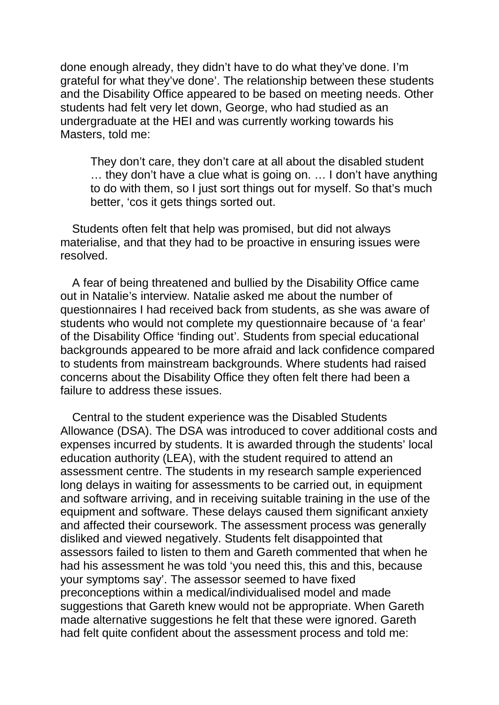done enough already, they didn't have to do what they've done. I'm grateful for what they've done'. The relationship between these students and the Disability Office appeared to be based on meeting needs. Other students had felt very let down, George, who had studied as an undergraduate at the HEI and was currently working towards his Masters, told me:

They don't care, they don't care at all about the disabled student … they don't have a clue what is going on. … I don't have anything to do with them, so I just sort things out for myself. So that's much better, 'cos it gets things sorted out.

Students often felt that help was promised, but did not always materialise, and that they had to be proactive in ensuring issues were resolved.

A fear of being threatened and bullied by the Disability Office came out in Natalie's interview. Natalie asked me about the number of questionnaires I had received back from students, as she was aware of students who would not complete my questionnaire because of 'a fear' of the Disability Office 'finding out'. Students from special educational backgrounds appeared to be more afraid and lack confidence compared to students from mainstream backgrounds. Where students had raised concerns about the Disability Office they often felt there had been a failure to address these issues.

Central to the student experience was the Disabled Students Allowance (DSA). The DSA was introduced to cover additional costs and expenses incurred by students. It is awarded through the students' local education authority (LEA), with the student required to attend an assessment centre. The students in my research sample experienced long delays in waiting for assessments to be carried out, in equipment and software arriving, and in receiving suitable training in the use of the equipment and software. These delays caused them significant anxiety and affected their coursework. The assessment process was generally disliked and viewed negatively. Students felt disappointed that assessors failed to listen to them and Gareth commented that when he had his assessment he was told 'you need this, this and this, because your symptoms say'. The assessor seemed to have fixed preconceptions within a medical/individualised model and made suggestions that Gareth knew would not be appropriate. When Gareth made alternative suggestions he felt that these were ignored. Gareth had felt quite confident about the assessment process and told me: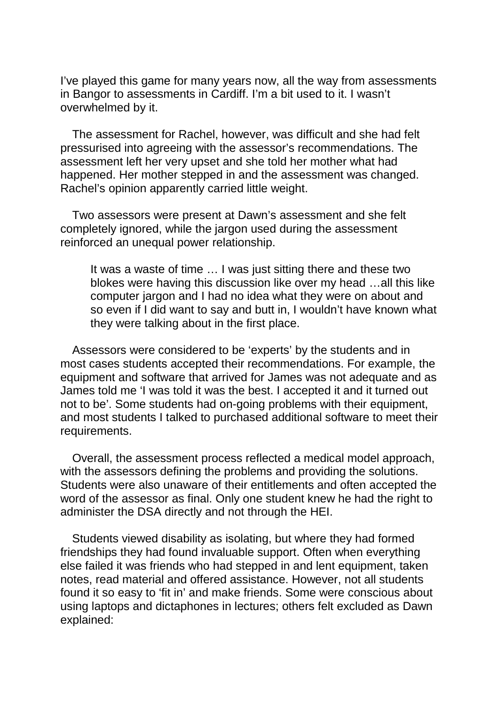I've played this game for many years now, all the way from assessments in Bangor to assessments in Cardiff. I'm a bit used to it. I wasn't overwhelmed by it.

The assessment for Rachel, however, was difficult and she had felt pressurised into agreeing with the assessor's recommendations. The assessment left her very upset and she told her mother what had happened. Her mother stepped in and the assessment was changed. Rachel's opinion apparently carried little weight.

Two assessors were present at Dawn's assessment and she felt completely ignored, while the jargon used during the assessment reinforced an unequal power relationship.

It was a waste of time … I was just sitting there and these two blokes were having this discussion like over my head …all this like computer jargon and I had no idea what they were on about and so even if I did want to say and butt in, I wouldn't have known what they were talking about in the first place.

Assessors were considered to be 'experts' by the students and in most cases students accepted their recommendations. For example, the equipment and software that arrived for James was not adequate and as James told me 'I was told it was the best. I accepted it and it turned out not to be'. Some students had on-going problems with their equipment, and most students I talked to purchased additional software to meet their requirements.

Overall, the assessment process reflected a medical model approach, with the assessors defining the problems and providing the solutions. Students were also unaware of their entitlements and often accepted the word of the assessor as final. Only one student knew he had the right to administer the DSA directly and not through the HEI.

Students viewed disability as isolating, but where they had formed friendships they had found invaluable support. Often when everything else failed it was friends who had stepped in and lent equipment, taken notes, read material and offered assistance. However, not all students found it so easy to 'fit in' and make friends. Some were conscious about using laptops and dictaphones in lectures; others felt excluded as Dawn explained: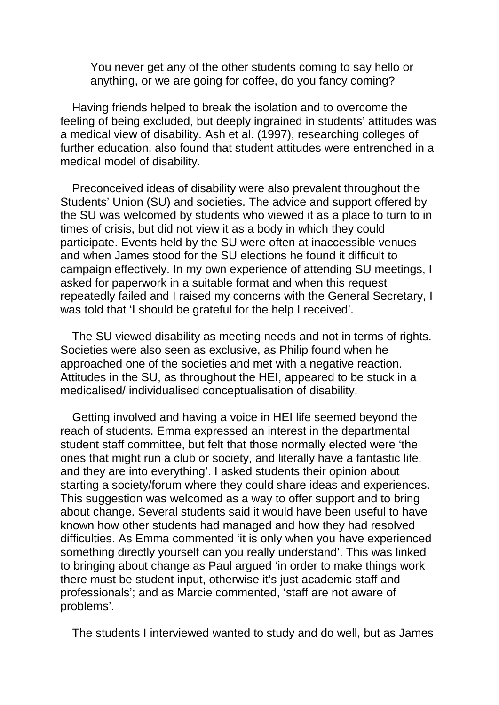You never get any of the other students coming to say hello or anything, or we are going for coffee, do you fancy coming?

Having friends helped to break the isolation and to overcome the feeling of being excluded, but deeply ingrained in students' attitudes was a medical view of disability. Ash et al. (1997), researching colleges of further education, also found that student attitudes were entrenched in a medical model of disability.

Preconceived ideas of disability were also prevalent throughout the Students' Union (SU) and societies. The advice and support offered by the SU was welcomed by students who viewed it as a place to turn to in times of crisis, but did not view it as a body in which they could participate. Events held by the SU were often at inaccessible venues and when James stood for the SU elections he found it difficult to campaign effectively. In my own experience of attending SU meetings, I asked for paperwork in a suitable format and when this request repeatedly failed and I raised my concerns with the General Secretary, I was told that 'I should be grateful for the help I received'.

The SU viewed disability as meeting needs and not in terms of rights. Societies were also seen as exclusive, as Philip found when he approached one of the societies and met with a negative reaction. Attitudes in the SU, as throughout the HEI, appeared to be stuck in a medicalised/ individualised conceptualisation of disability.

Getting involved and having a voice in HEI life seemed beyond the reach of students. Emma expressed an interest in the departmental student staff committee, but felt that those normally elected were 'the ones that might run a club or society, and literally have a fantastic life, and they are into everything'. I asked students their opinion about starting a society/forum where they could share ideas and experiences. This suggestion was welcomed as a way to offer support and to bring about change. Several students said it would have been useful to have known how other students had managed and how they had resolved difficulties. As Emma commented 'it is only when you have experienced something directly yourself can you really understand'. This was linked to bringing about change as Paul argued 'in order to make things work there must be student input, otherwise it's just academic staff and professionals'; and as Marcie commented, 'staff are not aware of problems'.

The students I interviewed wanted to study and do well, but as James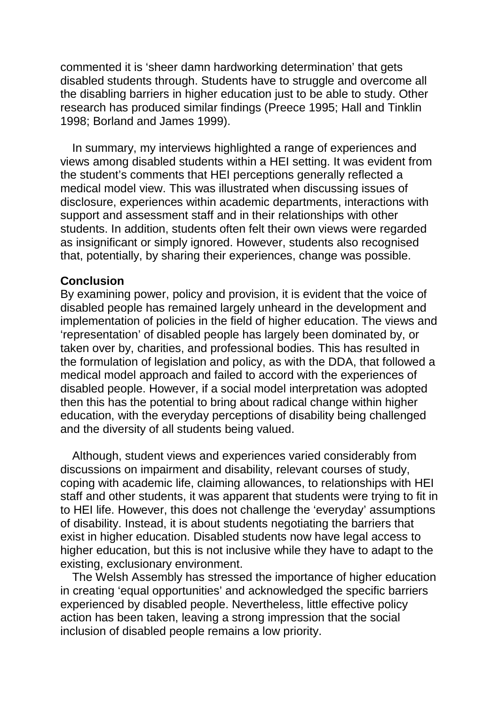commented it is 'sheer damn hardworking determination' that gets disabled students through. Students have to struggle and overcome all the disabling barriers in higher education just to be able to study. Other research has produced similar findings (Preece 1995; Hall and Tinklin 1998; Borland and James 1999).

In summary, my interviews highlighted a range of experiences and views among disabled students within a HEI setting. It was evident from the student's comments that HEI perceptions generally reflected a medical model view. This was illustrated when discussing issues of disclosure, experiences within academic departments, interactions with support and assessment staff and in their relationships with other students. In addition, students often felt their own views were regarded as insignificant or simply ignored. However, students also recognised that, potentially, by sharing their experiences, change was possible.

### **Conclusion**

By examining power, policy and provision, it is evident that the voice of disabled people has remained largely unheard in the development and implementation of policies in the field of higher education. The views and 'representation' of disabled people has largely been dominated by, or taken over by, charities, and professional bodies. This has resulted in the formulation of legislation and policy, as with the DDA, that followed a medical model approach and failed to accord with the experiences of disabled people. However, if a social model interpretation was adopted then this has the potential to bring about radical change within higher education, with the everyday perceptions of disability being challenged and the diversity of all students being valued.

Although, student views and experiences varied considerably from discussions on impairment and disability, relevant courses of study, coping with academic life, claiming allowances, to relationships with HEI staff and other students, it was apparent that students were trying to fit in to HEI life. However, this does not challenge the 'everyday' assumptions of disability. Instead, it is about students negotiating the barriers that exist in higher education. Disabled students now have legal access to higher education, but this is not inclusive while they have to adapt to the existing, exclusionary environment.

The Welsh Assembly has stressed the importance of higher education in creating 'equal opportunities' and acknowledged the specific barriers experienced by disabled people. Nevertheless, little effective policy action has been taken, leaving a strong impression that the social inclusion of disabled people remains a low priority.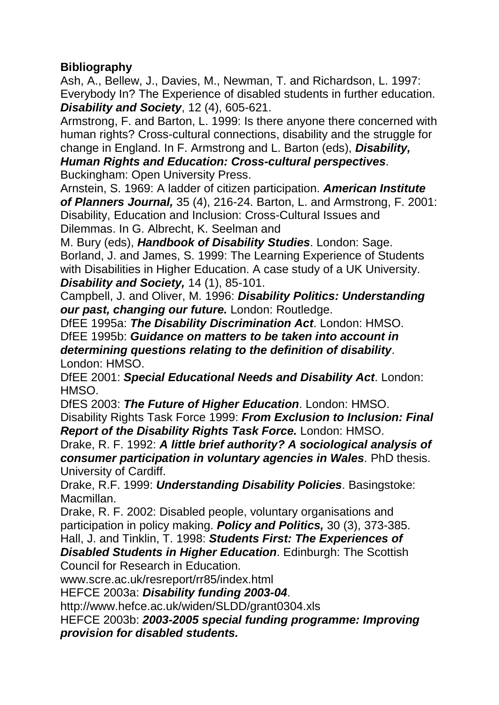# **Bibliography**

Ash, A., Bellew, J., Davies, M., Newman, T. and Richardson, L. 1997: Everybody In? The Experience of disabled students in further education. *Disability and Society*, 12 (4), 605-621.

Armstrong, F. and Barton, L. 1999: Is there anyone there concerned with human rights? Cross-cultural connections, disability and the struggle for change in England. In F. Armstrong and L. Barton (eds), *Disability,* 

*Human Rights and Education: Cross-cultural perspectives*. Buckingham: Open University Press.

Arnstein, S. 1969: A ladder of citizen participation. *American Institute of Planners Journal,* 35 (4), 216-24. Barton, L. and Armstrong, F. 2001: Disability, Education and Inclusion: Cross-Cultural Issues and Dilemmas. In G. Albrecht, K. Seelman and

M. Bury (eds), *Handbook of Disability Studies*. London: Sage. Borland, J. and James, S. 1999: The Learning Experience of Students with Disabilities in Higher Education. A case study of a UK University. *Disability and Society,* 14 (1), 85-101.

Campbell, J. and Oliver, M. 1996: *Disability Politics: Understanding our past, changing our future.* London: Routledge.

DfEE 1995a: *The Disability Discrimination Act*. London: HMSO. DfEE 1995b: *Guidance on matters to be taken into account in determining questions relating to the definition of disability*. London: HMSO.

DfEE 2001: *Special Educational Needs and Disability Act*. London: HMSO.

DfES 2003: *The Future of Higher Education*. London: HMSO. Disability Rights Task Force 1999: *From Exclusion to Inclusion: Final Report of the Disability Rights Task Force.* London: HMSO.

Drake, R. F. 1992: *A little brief authority? A sociological analysis of consumer participation in voluntary agencies in Wales*. PhD thesis. University of Cardiff.

Drake, R.F. 1999: *Understanding Disability Policies*. Basingstoke: Macmillan.

Drake, R. F. 2002: Disabled people, voluntary organisations and participation in policy making. *Policy and Politics,* 30 (3), 373-385.

Hall, J. and Tinklin, T. 1998: *Students First: The Experiences of Disabled Students in Higher Education*. Edinburgh: The Scottish

Council for Research in Education.

www.scre.ac.uk/resreport/rr85/index.html

HEFCE 2003a: *Disability funding 2003-04*.

http://www.hefce.ac.uk/widen/SLDD/grant0304.xls

HEFCE 2003b: *2003-2005 special funding programme: Improving provision for disabled students.*